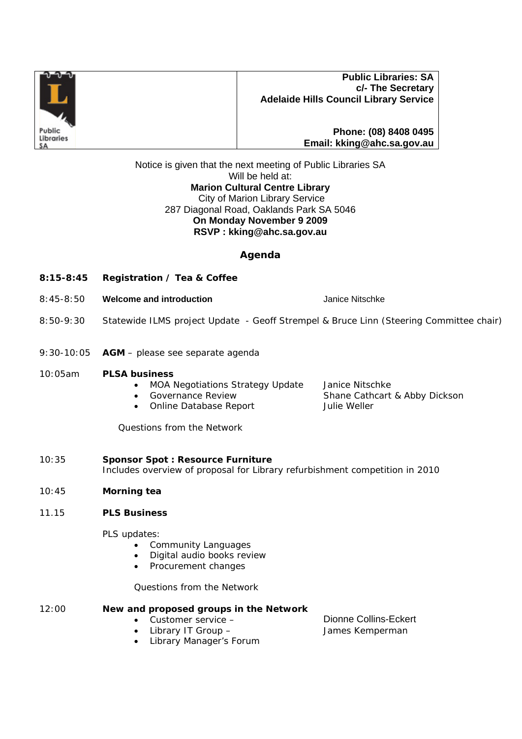

## **Public Libraries: SA c/- The Secretary Adelaide Hills Council Library Service**

**Phone: (08) 8408 0495 Email: kking@ahc.sa.gov.au**

Notice is given that the next meeting of Public Libraries SA Will be held at: **Marion Cultural Centre Library**  City of Marion Library Service 287 Diagonal Road, Oaklands Park SA 5046 **On Monday November 9 2009 RSVP : kking@ahc.sa.gov.au** 

# **Agenda**

- **8:15-8:45 Registration / Tea & Coffee**
- 8:45-8:50 **Welcome and introduction** Janice Nitschke
- 8:50-9:30 Statewide ILMS project Update Geoff Strempel & Bruce Linn (Steering Committee chair)
- 9:30-10:05 **AGM** please see separate agenda

#### 10:05am **PLSA business**

- MOA Negotiations Strategy Update Janice Nitschke
- Governance Review Shane Cathcart & Abby Dickson
- Online Database Report Julie Weller

*Questions from the Network*

- 10:35 **Sponsor Spot : Resource Furniture** *Includes overview of proposal for Library refurbishment competition in 2010*
- 10:45 **Morning tea**
- 11.15 **PLS Business**

PLS updates:

- Community Languages
- Digital audio books review
- Procurement changes

## *Questions from the Network*

#### 12:00 **New and proposed groups in the Network**

- Customer service Dionne Collins-Eckert
- 
- Library Manager's Forum

• Library IT Group – James Kemperman